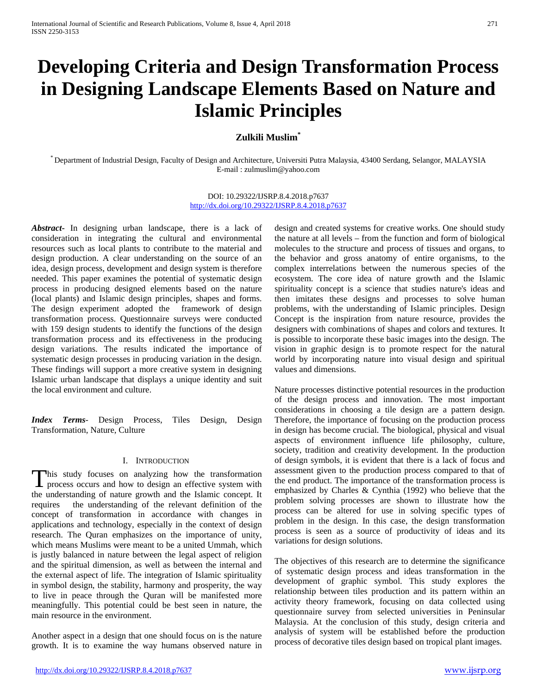# **Developing Criteria and Design Transformation Process in Designing Landscape Elements Based on Nature and Islamic Principles**

## **Zulkili Muslim\***

\* Department of Industrial Design, Faculty of Design and Architecture, Universiti Putra Malaysia, 43400 Serdang, Selangor, MALAYSIA E-mail : zulmuslim@yahoo.com

### DOI: 10.29322/IJSRP.8.4.2018.p7637 <http://dx.doi.org/10.29322/IJSRP.8.4.2018.p7637>

*Abstract***-** In designing urban landscape, there is a lack of consideration in integrating the cultural and environmental resources such as local plants to contribute to the material and design production. A clear understanding on the source of an idea, design process, development and design system is therefore needed. This paper examines the potential of systematic design process in producing designed elements based on the nature (local plants) and Islamic design principles, shapes and forms. The design experiment adopted the framework of design transformation process. Questionnaire surveys were conducted with 159 design students to identify the functions of the design transformation process and its effectiveness in the producing design variations. The results indicated the importance of systematic design processes in producing variation in the design. These findings will support a more creative system in designing Islamic urban landscape that displays a unique identity and suit the local environment and culture.

*Index Terms*- Design Process, Tiles Design, Design Transformation, Nature, Culture

## I. INTRODUCTION

his study focuses on analyzing how the transformation This study focuses on analyzing how the transformation<br>process occurs and how to design an effective system with the understanding of nature growth and the Islamic concept. It requires the understanding of the relevant definition of the concept of transformation in accordance with changes in applications and technology, especially in the context of design research. The Quran emphasizes on the importance of unity, which means Muslims were meant to be a united Ummah, which is justly balanced in nature between the legal aspect of religion and the spiritual dimension, as well as between the internal and the external aspect of life. The integration of Islamic spirituality in symbol design, the stability, harmony and prosperity, the way to live in peace through the Quran will be manifested more meaningfully. This potential could be best seen in nature, the main resource in the environment.

Another aspect in a design that one should focus on is the nature growth. It is to examine the way humans observed nature in design and created systems for creative works. One should study the nature at all levels – from the function and form of biological molecules to the structure and process of tissues and organs, to the behavior and gross anatomy of entire organisms, to the complex interrelations between the numerous species of the ecosystem. The core idea of nature growth and the Islamic spirituality concept is a science that studies nature's ideas and then imitates these designs and processes to solve human problems, with the understanding of Islamic principles. Design Concept is the inspiration from nature resource, provides the designers with combinations of shapes and colors and textures. It is possible to incorporate these basic images into the design. The vision in graphic design is to promote respect for the natural world by incorporating nature into visual design and spiritual values and dimensions.

Nature processes distinctive potential resources in the production of the design process and innovation. The most important considerations in choosing a tile design are a pattern design. Therefore, the importance of focusing on the production process in design has become crucial. The biological, physical and visual aspects of environment influence life philosophy, culture, society, tradition and creativity development. In the production of design symbols, it is evident that there is a lack of focus and assessment given to the production process compared to that of the end product. The importance of the transformation process is emphasized by Charles & Cynthia (1992) who believe that the problem solving processes are shown to illustrate how the process can be altered for use in solving specific types of problem in the design. In this case, the design transformation process is seen as a source of productivity of ideas and its variations for design solutions.

The objectives of this research are to determine the significance of systematic design process and ideas transformation in the development of graphic symbol. This study explores the relationship between tiles production and its pattern within an activity theory framework, focusing on data collected using questionnaire survey from selected universities in Peninsular Malaysia. At the conclusion of this study, design criteria and analysis of system will be established before the production process of decorative tiles design based on tropical plant images.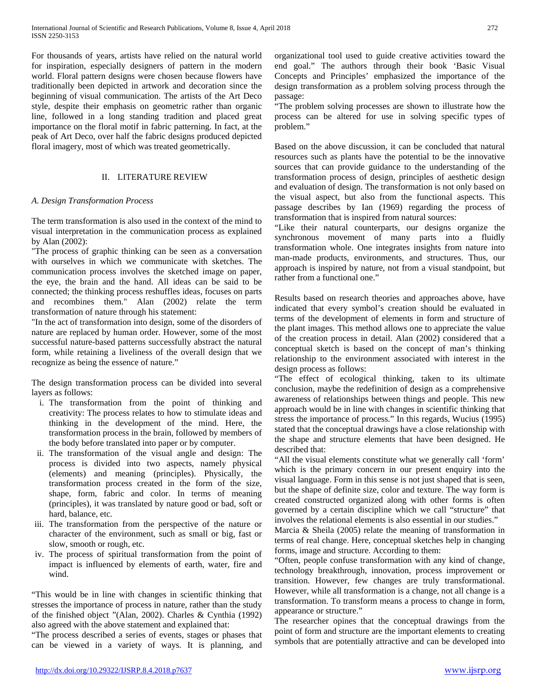For thousands of years, artists have relied on the natural world for inspiration, especially designers of pattern in the modern world. Floral pattern designs were chosen because flowers have traditionally been depicted in artwork and decoration since the beginning of visual communication. The artists of the Art Deco style, despite their emphasis on geometric rather than organic line, followed in a long standing tradition and placed great importance on the floral motif in fabric patterning. In fact, at the peak of Art Deco, over half the fabric designs produced depicted floral imagery, most of which was treated geometrically.

## II. LITERATURE REVIEW

## *A. Design Transformation Process*

The term transformation is also used in the context of the mind to visual interpretation in the communication process as explained by Alan (2002):

"The process of graphic thinking can be seen as a conversation with ourselves in which we communicate with sketches. The communication process involves the sketched image on paper, the eye, the brain and the hand. All ideas can be said to be connected; the thinking process reshuffles ideas, focuses on parts and recombines them." Alan (2002) relate the term transformation of nature through his statement:

"In the act of transformation into design, some of the disorders of nature are replaced by human order. However, some of the most successful nature-based patterns successfully abstract the natural form, while retaining a liveliness of the overall design that we recognize as being the essence of nature."

The design transformation process can be divided into several layers as follows:

- i. The transformation from the point of thinking and creativity: The process relates to how to stimulate ideas and thinking in the development of the mind. Here, the transformation process in the brain, followed by members of the body before translated into paper or by computer.
- ii. The transformation of the visual angle and design: The process is divided into two aspects, namely physical (elements) and meaning (principles). Physically, the transformation process created in the form of the size, shape, form, fabric and color. In terms of meaning (principles), it was translated by nature good or bad, soft or hard, balance, etc.
- iii. The transformation from the perspective of the nature or character of the environment, such as small or big, fast or slow, smooth or rough, etc.
- iv. The process of spiritual transformation from the point of impact is influenced by elements of earth, water, fire and wind.

"This would be in line with changes in scientific thinking that stresses the importance of process in nature, rather than the study of the finished object "(Alan, 2002). Charles & Cynthia (1992) also agreed with the above statement and explained that:

"The process described a series of events, stages or phases that can be viewed in a variety of ways. It is planning, and organizational tool used to guide creative activities toward the end goal." The authors through their book 'Basic Visual Concepts and Principles' emphasized the importance of the design transformation as a problem solving process through the passage:

"The problem solving processes are shown to illustrate how the process can be altered for use in solving specific types of problem."

Based on the above discussion, it can be concluded that natural resources such as plants have the potential to be the innovative sources that can provide guidance to the understanding of the transformation process of design, principles of aesthetic design and evaluation of design. The transformation is not only based on the visual aspect, but also from the functional aspects. This passage describes by Ian (1969) regarding the process of transformation that is inspired from natural sources:

"Like their natural counterparts, our designs organize the synchronous movement of many parts into a fluidly transformation whole. One integrates insights from nature into man-made products, environments, and structures. Thus, our approach is inspired by nature, not from a visual standpoint, but rather from a functional one."

Results based on research theories and approaches above, have indicated that every symbol's creation should be evaluated in terms of the development of elements in form and structure of the plant images. This method allows one to appreciate the value of the creation process in detail. Alan (2002) considered that a conceptual sketch is based on the concept of man's thinking relationship to the environment associated with interest in the design process as follows:

"The effect of ecological thinking, taken to its ultimate conclusion, maybe the redefinition of design as a comprehensive awareness of relationships between things and people. This new approach would be in line with changes in scientific thinking that stress the importance of process." In this regards, Wucius (1995) stated that the conceptual drawings have a close relationship with the shape and structure elements that have been designed. He described that:

"All the visual elements constitute what we generally call 'form' which is the primary concern in our present enquiry into the visual language. Form in this sense is not just shaped that is seen, but the shape of definite size, color and texture. The way form is created constructed organized along with other forms is often governed by a certain discipline which we call "structure" that involves the relational elements is also essential in our studies."

Marcia & Sheila (2005) relate the meaning of transformation in terms of real change. Here, conceptual sketches help in changing forms, image and structure. According to them:

"Often, people confuse transformation with any kind of change, technology breakthrough, innovation, process improvement or transition. However, few changes are truly transformational. However, while all transformation is a change, not all change is a transformation. To transform means a process to change in form, appearance or structure."

The researcher opines that the conceptual drawings from the point of form and structure are the important elements to creating symbols that are potentially attractive and can be developed into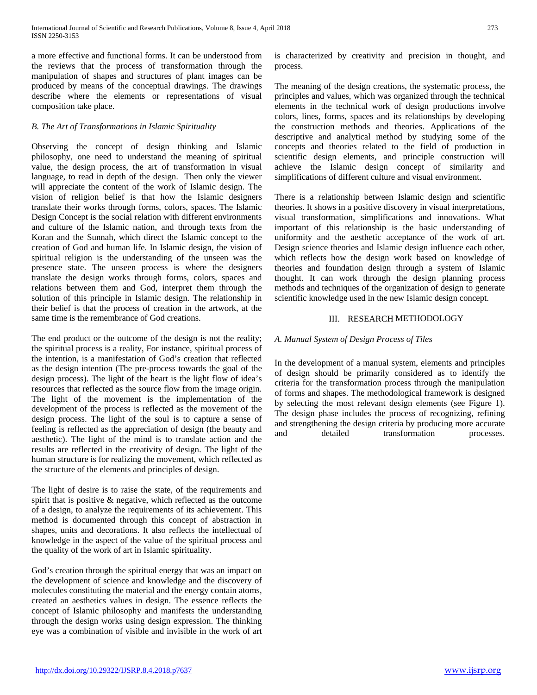a more effective and functional forms. It can be understood from the reviews that the process of transformation through the manipulation of shapes and structures of plant images can be produced by means of the conceptual drawings. The drawings describe where the elements or representations of visual composition take place.

## *B. The Art of Transformations in Islamic Spirituality*

Observing the concept of design thinking and Islamic philosophy, one need to understand the meaning of spiritual value, the design process, the art of transformation in visual language, to read in depth of the design. Then only the viewer will appreciate the content of the work of Islamic design. The vision of religion belief is that how the Islamic designers translate their works through forms, colors, spaces. The Islamic Design Concept is the social relation with different environments and culture of the Islamic nation, and through texts from the Koran and the Sunnah, which direct the Islamic concept to the creation of God and human life. In Islamic design, the vision of spiritual religion is the understanding of the unseen was the presence state. The unseen process is where the designers translate the design works through forms, colors, spaces and relations between them and God, interpret them through the solution of this principle in Islamic design. The relationship in their belief is that the process of creation in the artwork, at the same time is the remembrance of God creations.

The end product or the outcome of the design is not the reality; the spiritual process is a reality, For instance, spiritual process of the intention, is a manifestation of God's creation that reflected as the design intention (The pre-process towards the goal of the design process). The light of the heart is the light flow of idea's resources that reflected as the source flow from the image origin. The light of the movement is the implementation of the development of the process is reflected as the movement of the design process. The light of the soul is to capture a sense of feeling is reflected as the appreciation of design (the beauty and aesthetic). The light of the mind is to translate action and the results are reflected in the creativity of design. The light of the human structure is for realizing the movement, which reflected as the structure of the elements and principles of design.

The light of desire is to raise the state, of the requirements and spirit that is positive & negative, which reflected as the outcome of a design, to analyze the requirements of its achievement. This method is documented through this concept of abstraction in shapes, units and decorations. It also reflects the intellectual of knowledge in the aspect of the value of the spiritual process and the quality of the work of art in Islamic spirituality.

God's creation through the spiritual energy that was an impact on the development of science and knowledge and the discovery of molecules constituting the material and the energy contain atoms, created an aesthetics values in design. The essence reflects the concept of Islamic philosophy and manifests the understanding through the design works using design expression. The thinking eye was a combination of visible and invisible in the work of art

is characterized by creativity and precision in thought, and process.

The meaning of the design creations, the systematic process, the principles and values, which was organized through the technical elements in the technical work of design productions involve colors, lines, forms, spaces and its relationships by developing the construction methods and theories. Applications of the descriptive and analytical method by studying some of the concepts and theories related to the field of production in scientific design elements, and principle construction will achieve the Islamic design concept of similarity and simplifications of different culture and visual environment.

There is a relationship between Islamic design and scientific theories. It shows in a positive discovery in visual interpretations, visual transformation, simplifications and innovations. What important of this relationship is the basic understanding of uniformity and the aesthetic acceptance of the work of art. Design science theories and Islamic design influence each other, which reflects how the design work based on knowledge of theories and foundation design through a system of Islamic thought. It can work through the design planning process methods and techniques of the organization of design to generate scientific knowledge used in the new Islamic design concept.

## III. RESEARCH METHODOLOGY

## *A. Manual System of Design Process of Tiles*

In the development of a manual system, elements and principles of design should be primarily considered as to identify the criteria for the transformation process through the manipulation of forms and shapes. The methodological framework is designed by selecting the most relevant design elements (see Figure 1). The design phase includes the process of recognizing, refining and strengthening the design criteria by producing more accurate and detailed transformation processes.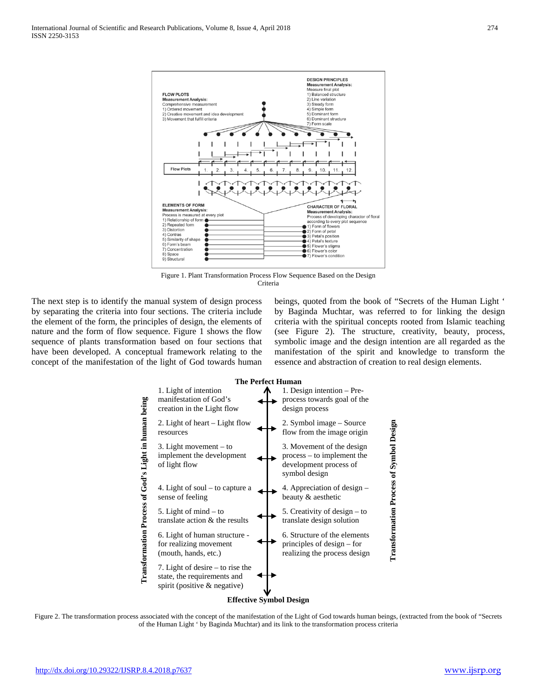

Figure 1. Plant Transformation Process Flow Sequence Based on the Design Criteria

The next step is to identify the manual system of design process by separating the criteria into four sections. The criteria include the element of the form, the principles of design, the elements of nature and the form of flow sequence. Figure 1 shows the flow sequence of plants transformation based on four sections that have been developed. A conceptual framework relating to the concept of the manifestation of the light of God towards human beings, quoted from the book of "Secrets of the Human Light ' by Baginda Muchtar, was referred to for linking the design criteria with the spiritual concepts rooted from Islamic teaching (see Figure 2). The structure, creativity, beauty, process, symbolic image and the design intention are all regarded as the manifestation of the spirit and knowledge to transform the essence and abstraction of creation to real design elements.



Figure 2. The transformation process associated with the concept of the manifestation of the Light of God towards human beings, (extracted from the book of "Secrets") of the Human Light ' by Baginda Muchtar) and its link to the transformation process criteria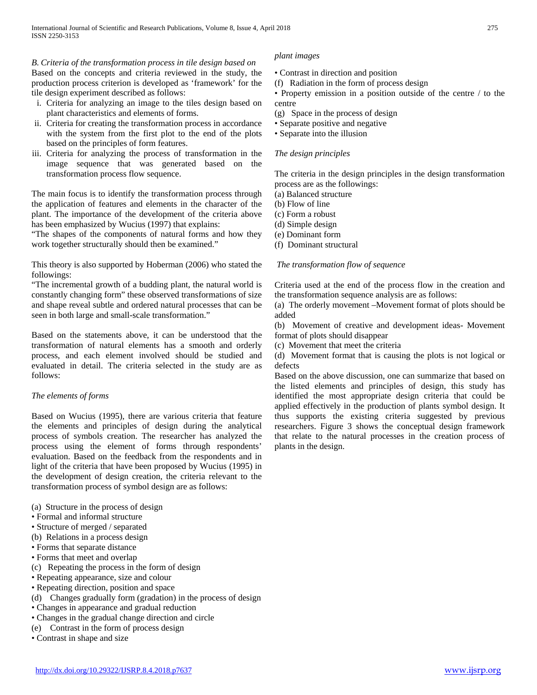## *B. Criteria of the transformation process in tile design based on plant images*

Based on the concepts and criteria reviewed in the study, the production process criterion is developed as 'framework' for the tile design experiment described as follows:

- i. Criteria for analyzing an image to the tiles design based on plant characteristics and elements of forms.
- ii. Criteria for creating the transformation process in accordance with the system from the first plot to the end of the plots based on the principles of form features.
- iii. Criteria for analyzing the process of transformation in the image sequence that was generated based on the transformation process flow sequence.

The main focus is to identify the transformation process through the application of features and elements in the character of the plant. The importance of the development of the criteria above has been emphasized by Wucius (1997) that explains:

"The shapes of the components of natural forms and how they work together structurally should then be examined."

This theory is also supported by Hoberman (2006) who stated the followings:

"The incremental growth of a budding plant, the natural world is constantly changing form" these observed transformations of size and shape reveal subtle and ordered natural processes that can be seen in both large and small-scale transformation."

Based on the statements above, it can be understood that the transformation of natural elements has a smooth and orderly process, and each element involved should be studied and evaluated in detail. The criteria selected in the study are as follows:

## *The elements of forms*

Based on Wucius (1995), there are various criteria that feature the elements and principles of design during the analytical process of symbols creation. The researcher has analyzed the process using the element of forms through respondents' evaluation. Based on the feedback from the respondents and in light of the criteria that have been proposed by Wucius (1995) in the development of design creation, the criteria relevant to the transformation process of symbol design are as follows:

(a) Structure in the process of design

- Formal and informal structure
- Structure of merged / separated
- (b) Relations in a process design
- Forms that separate distance
- Forms that meet and overlap
- (c) Repeating the process in the form of design
- Repeating appearance, size and colour
- Repeating direction, position and space
- (d) Changes gradually form (gradation) in the process of design
- Changes in appearance and gradual reduction
- Changes in the gradual change direction and circle
- (e) Contrast in the form of process design
- Contrast in shape and size

- Contrast in direction and position
- (f) Radiation in the form of process design
- Property emission in a position outside of the centre / to the centre
- (g) Space in the process of design
- Separate positive and negative
- Separate into the illusion

## *The design principles*

The criteria in the design principles in the design transformation process are as the followings:

(a) Balanced structure

- (b) Flow of line
- (c) Form a robust
- (d) Simple design
- (e) Dominant form
- (f) Dominant structural

## *The transformation flow of sequence*

Criteria used at the end of the process flow in the creation and the transformation sequence analysis are as follows:

(a) The orderly movement –Movement format of plots should be added

(b) Movement of creative and development ideas- Movement format of plots should disappear

(c) Movement that meet the criteria

(d) Movement format that is causing the plots is not logical or defects

Based on the above discussion, one can summarize that based on the listed elements and principles of design, this study has identified the most appropriate design criteria that could be applied effectively in the production of plants symbol design. It thus supports the existing criteria suggested by previous researchers. Figure 3 shows the conceptual design framework that relate to the natural processes in the creation process of plants in the design.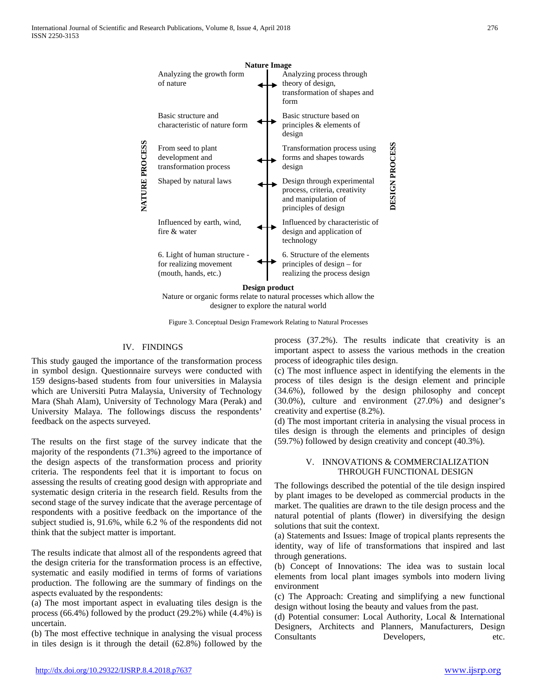

Figure 3. Conceptual Design Framework Relating to Natural Processes

## IV. FINDINGS

This study gauged the importance of the transformation process in symbol design. Questionnaire surveys were conducted with 159 designs-based students from four universities in Malaysia which are Universiti Putra Malaysia, University of Technology Mara (Shah Alam), University of Technology Mara (Perak) and University Malaya. The followings discuss the respondents' feedback on the aspects surveyed.

The results on the first stage of the survey indicate that the majority of the respondents (71.3%) agreed to the importance of the design aspects of the transformation process and priority criteria. The respondents feel that it is important to focus on assessing the results of creating good design with appropriate and systematic design criteria in the research field. Results from the second stage of the survey indicate that the average percentage of respondents with a positive feedback on the importance of the subject studied is, 91.6%, while 6.2 % of the respondents did not think that the subject matter is important.

The results indicate that almost all of the respondents agreed that the design criteria for the transformation process is an effective, systematic and easily modified in terms of forms of variations production. The following are the summary of findings on the aspects evaluated by the respondents:

(a) The most important aspect in evaluating tiles design is the process (66.4%) followed by the product (29.2%) while (4.4%) is uncertain.

(b) The most effective technique in analysing the visual process in tiles design is it through the detail (62.8%) followed by the process (37.2%). The results indicate that creativity is an important aspect to assess the various methods in the creation process of ideographic tiles design.

(c) The most influence aspect in identifying the elements in the process of tiles design is the design element and principle (34.6%), followed by the design philosophy and concept (30.0%), culture and environment (27.0%) and designer's creativity and expertise (8.2%).

(d) The most important criteria in analysing the visual process in tiles design is through the elements and principles of design (59.7%) followed by design creativity and concept (40.3%).

## V. INNOVATIONS & COMMERCIALIZATION THROUGH FUNCTIONAL DESIGN

The followings described the potential of the tile design inspired by plant images to be developed as commercial products in the market. The qualities are drawn to the tile design process and the natural potential of plants (flower) in diversifying the design solutions that suit the context.

(a) Statements and Issues: Image of tropical plants represents the identity, way of life of transformations that inspired and last through generations.

(b) Concept of Innovations: The idea was to sustain local elements from local plant images symbols into modern living environment

(c) The Approach: Creating and simplifying a new functional design without losing the beauty and values from the past.

(d) Potential consumer: Local Authority, Local & International Designers, Architects and Planners, Manufacturers, Design Consultants Developers, etc.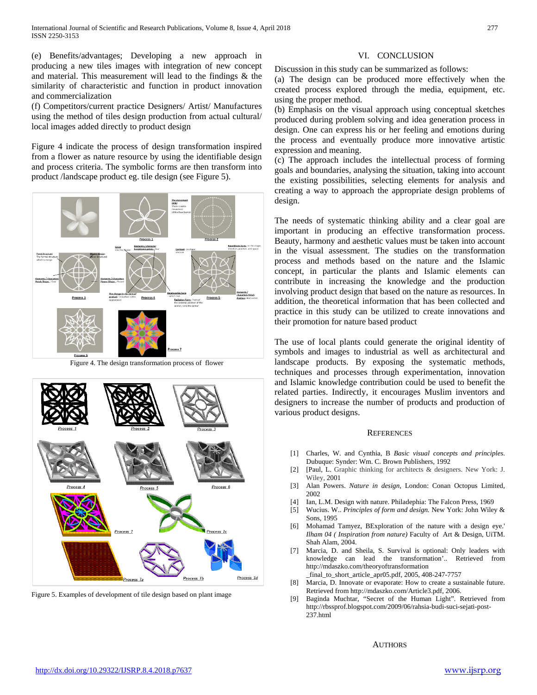(e) Benefits/advantages; Developing a new approach in producing a new tiles images with integration of new concept and material. This measurement will lead to the findings & the similarity of characteristic and function in product innovation and commercialization

(f) Competitors/current practice Designers/ Artist/ Manufactures using the method of tiles design production from actual cultural/ local images added directly to product design

Figure 4 indicate the process of design transformation inspired from a flower as nature resource by using the identifiable design and process criteria. The symbolic forms are then transform into product /landscape product eg. tile design (see Figure 5).



Figure 4. The design transformation process of flower



Figure 5. Examples of development of tile design based on plant image

## VI. CONCLUSION

Discussion in this study can be summarized as follows:

(a) The design can be produced more effectively when the created process explored through the media, equipment, etc. using the proper method.

(b) Emphasis on the visual approach using conceptual sketches produced during problem solving and idea generation process in design. One can express his or her feeling and emotions during the process and eventually produce more innovative artistic expression and meaning.

(c) The approach includes the intellectual process of forming goals and boundaries, analysing the situation, taking into account the existing possibilities, selecting elements for analysis and creating a way to approach the appropriate design problems of design.

The needs of systematic thinking ability and a clear goal are important in producing an effective transformation process. Beauty, harmony and aesthetic values must be taken into account in the visual assessment. The studies on the transformation process and methods based on the nature and the Islamic concept, in particular the plants and Islamic elements can contribute in increasing the knowledge and the production involving product design that based on the nature as resources. In addition, the theoretical information that has been collected and practice in this study can be utilized to create innovations and their promotion for nature based product

The use of local plants could generate the original identity of symbols and images to industrial as well as architectural and landscape products. By exposing the systematic methods, techniques and processes through experimentation, innovation and Islamic knowledge contribution could be used to benefit the related parties. Indirectly, it encourages Muslim inventors and designers to increase the number of products and production of various product designs.

## **REFERENCES**

- [1] Charles, W. and Cynthia, B *Basic visual concepts and principles*. Dubuque: Synder: Wm. C. Brown Publishers, 1992
- [2] [Paul, L. Graphic thinking for architects & designers. New York: J. Wiley, 2001
- [3] Alan Powers. *Nature in design,* London: Conan Octopus Limited, 2002
- [4] Ian, L.M. Design with nature. Philadephia: The Falcon Press, 1969
- [5] Wucius. W.. *Principles of form and design.* New York: John Wiley & Sons, 1995
- [6] Mohamad Tamyez, BExploration of the nature with a design eye.' *Ilham 04 ( Inspiration from nature)* Faculty of Art & Design, UiTM. Shah Alam, 2004.
- [7] Marcia, D. and Sheila, S. Survival is optional: Only leaders with knowledge can lead the transformation'.. Retrieved from http://mdaszko.com/theoryoftransformation \_final\_to\_short\_article\_apr05.pdf, 2005, 408-247-7757
- [8] Marcia, D. Innovate or evaporate: How to create a sustainable future. Retrieved from http://mdaszko.com/Article3.pdf, 2006.
- [9] Baginda Muchtar, "Secret of the Human Light". Retrieved from http://rbssprof.blogspot.com/2009/06/rahsia-budi-suci-sejati-post-237.html

**AUTHORS**